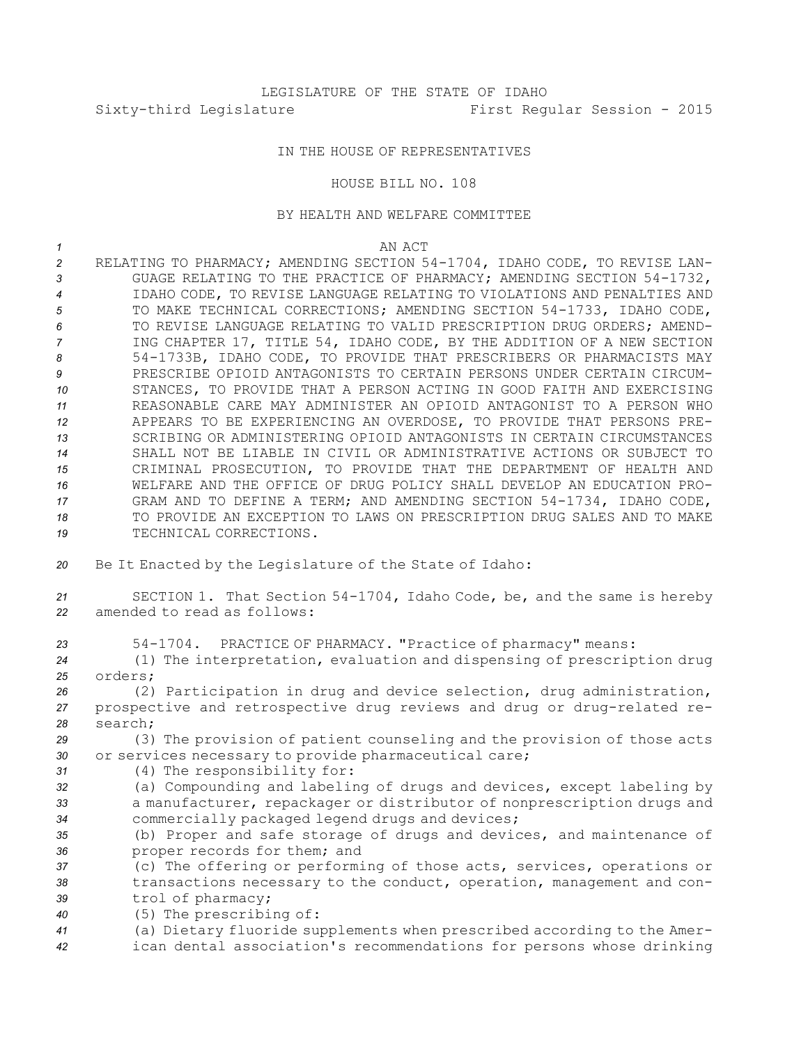## IN THE HOUSE OF REPRESENTATIVES

## HOUSE BILL NO. 108

## BY HEALTH AND WELFARE COMMITTEE

## *1* AN ACT

 RELATING TO PHARMACY; AMENDING SECTION 54-1704, IDAHO CODE, TO REVISE LAN- GUAGE RELATING TO THE PRACTICE OF PHARMACY; AMENDING SECTION 54-1732, IDAHO CODE, TO REVISE LANGUAGE RELATING TO VIOLATIONS AND PENALTIES AND TO MAKE TECHNICAL CORRECTIONS; AMENDING SECTION 54-1733, IDAHO CODE, TO REVISE LANGUAGE RELATING TO VALID PRESCRIPTION DRUG ORDERS; AMEND- ING CHAPTER 17, TITLE 54, IDAHO CODE, BY THE ADDITION OF A NEW SECTION 54-1733B, IDAHO CODE, TO PROVIDE THAT PRESCRIBERS OR PHARMACISTS MAY PRESCRIBE OPIOID ANTAGONISTS TO CERTAIN PERSONS UNDER CERTAIN CIRCUM- STANCES, TO PROVIDE THAT A PERSON ACTING IN GOOD FAITH AND EXERCISING REASONABLE CARE MAY ADMINISTER AN OPIOID ANTAGONIST TO A PERSON WHO APPEARS TO BE EXPERIENCING AN OVERDOSE, TO PROVIDE THAT PERSONS PRE- SCRIBING OR ADMINISTERING OPIOID ANTAGONISTS IN CERTAIN CIRCUMSTANCES SHALL NOT BE LIABLE IN CIVIL OR ADMINISTRATIVE ACTIONS OR SUBJECT TO CRIMINAL PROSECUTION, TO PROVIDE THAT THE DEPARTMENT OF HEALTH AND WELFARE AND THE OFFICE OF DRUG POLICY SHALL DEVELOP AN EDUCATION PRO- GRAM AND TO DEFINE A TERM; AND AMENDING SECTION 54-1734, IDAHO CODE, TO PROVIDE AN EXCEPTION TO LAWS ON PRESCRIPTION DRUG SALES AND TO MAKE 19 TECHNICAL CORRECTIONS. Be It Enacted by the Legislature of the State of Idaho: SECTION 1. That Section 54-1704, Idaho Code, be, and the same is hereby amended to read as follows: 54-1704. PRACTICE OF PHARMACY. "Practice of pharmacy" means: (1) The interpretation, evaluation and dispensing of prescription drug *25* orders;

*<sup>26</sup>* (2) Participation in drug and device selection, drug administration, *<sup>27</sup>* prospective and retrospective drug reviews and drug or drug-related re-*28* search;

*<sup>29</sup>* (3) The provision of patient counseling and the provision of those acts *<sup>30</sup>* or services necessary to provide pharmaceutical care;

- *<sup>31</sup>* (4) The responsibility for:
- *<sup>32</sup>* (a) Compounding and labeling of drugs and devices, except labeling by *<sup>33</sup>* <sup>a</sup> manufacturer, repackager or distributor of nonprescription drugs and *<sup>34</sup>* commercially packaged legend drugs and devices;

*<sup>35</sup>* (b) Proper and safe storage of drugs and devices, and maintenance of *<sup>36</sup>* proper records for them; and

*<sup>37</sup>* (c) The offering or performing of those acts, services, operations or *<sup>38</sup>* transactions necessary to the conduct, operation, management and con-*<sup>39</sup>* trol of pharmacy;

*<sup>40</sup>* (5) The prescribing of:

*<sup>41</sup>* (a) Dietary fluoride supplements when prescribed according to the Amer-*<sup>42</sup>* ican dental association's recommendations for persons whose drinking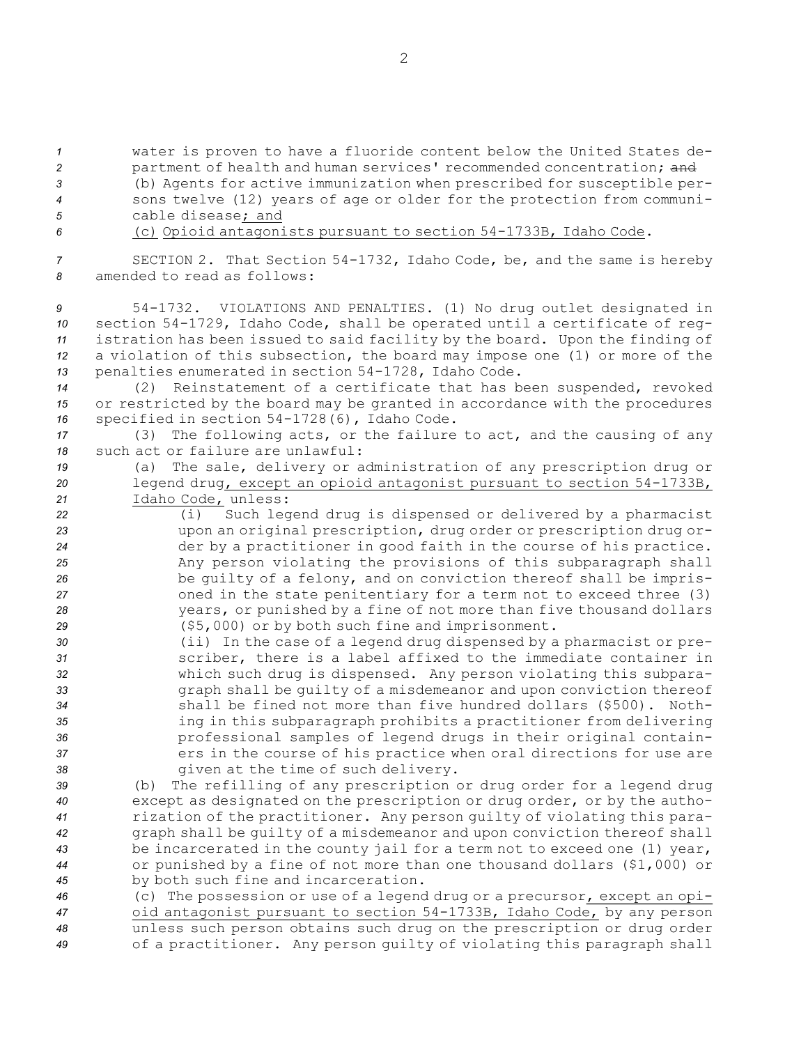*<sup>1</sup>* water is proven to have <sup>a</sup> fluoride content below the United States de-

2 partment of health and human services' recommended concentration; and

*<sup>3</sup>* (b) Agents for active immunization when prescribed for susceptible per-*<sup>4</sup>* sons twelve (12) years of age or older for the protection from communi-*5* cable disease; and

*<sup>6</sup>* (c) Opioid antagonists pursuant to section 54-1733B, Idaho Code.

*<sup>7</sup>* SECTION 2. That Section 54-1732, Idaho Code, be, and the same is hereby *8* amended to read as follows:

 54-1732. VIOLATIONS AND PENALTIES. (1) No drug outlet designated in section 54-1729, Idaho Code, shall be operated until <sup>a</sup> certificate of reg- istration has been issued to said facility by the board. Upon the finding of <sup>a</sup> violation of this subsection, the board may impose one (1) or more of the penalties enumerated in section 54-1728, Idaho Code.

*<sup>14</sup>* (2) Reinstatement of <sup>a</sup> certificate that has been suspended, revoked *<sup>15</sup>* or restricted by the board may be granted in accordance with the procedures *<sup>16</sup>* specified in section 54-1728(6), Idaho Code.

*<sup>17</sup>* (3) The following acts, or the failure to act, and the causing of any *18* such act or failure are unlawful:

- *<sup>19</sup>* (a) The sale, delivery or administration of any prescription drug or *<sup>20</sup>* legend drug, except an opioid antagonist pursuant to section 54-1733B, *<sup>21</sup>* Idaho Code, unless:
- *<sup>22</sup>* (i) Such legend drug is dispensed or delivered by <sup>a</sup> pharmacist *<sup>23</sup>* upon an original prescription, drug order or prescription drug or-*<sup>24</sup>* der by <sup>a</sup> practitioner in good faith in the course of his practice. *<sup>25</sup>* Any person violating the provisions of this subparagraph shall *<sup>26</sup>* be guilty of <sup>a</sup> felony, and on conviction thereof shall be impris-*<sup>27</sup>* oned in the state penitentiary for <sup>a</sup> term not to exceed three (3) *<sup>28</sup>* years, or punished by <sup>a</sup> fine of not more than five thousand dollars *<sup>29</sup>* (\$5,000) or by both such fine and imprisonment.
- *<sup>30</sup>* (ii) In the case of <sup>a</sup> legend drug dispensed by <sup>a</sup> pharmacist or pre-*<sup>31</sup>* scriber, there is <sup>a</sup> label affixed to the immediate container in *<sup>32</sup>* which such drug is dispensed. Any person violating this subpara-*<sup>33</sup>* graph shall be guilty of <sup>a</sup> misdemeanor and upon conviction thereof *<sup>34</sup>* shall be fined not more than five hundred dollars (\$500). Noth-*<sup>35</sup>* ing in this subparagraph prohibits <sup>a</sup> practitioner from delivering *<sup>36</sup>* professional samples of legend drugs in their original contain-*<sup>37</sup>* ers in the course of his practice when oral directions for use are *<sup>38</sup>* given at the time of such delivery.

 (b) The refilling of any prescription or drug order for <sup>a</sup> legend drug except as designated on the prescription or drug order, or by the autho- rization of the practitioner. Any person guilty of violating this para- graph shall be guilty of <sup>a</sup> misdemeanor and upon conviction thereof shall be incarcerated in the county jail for <sup>a</sup> term not to exceed one (1) year, or punished by <sup>a</sup> fine of not more than one thousand dollars (\$1,000) or by both such fine and incarceration.

 (c) The possession or use of <sup>a</sup> legend drug or <sup>a</sup> precursor, except an opi- oid antagonist pursuant to section 54-1733B, Idaho Code, by any person unless such person obtains such drug on the prescription or drug order of <sup>a</sup> practitioner. Any person guilty of violating this paragraph shall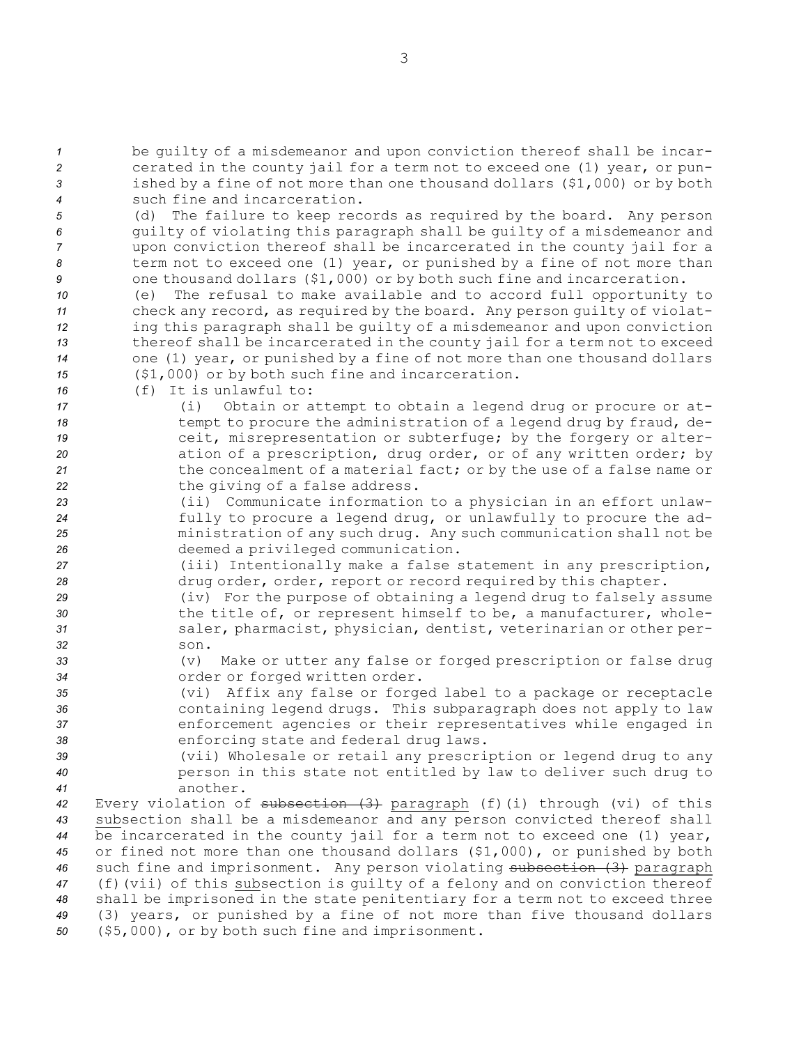be guilty of <sup>a</sup> misdemeanor and upon conviction thereof shall be incar- cerated in the county jail for <sup>a</sup> term not to exceed one (1) year, or pun- ished by <sup>a</sup> fine of not more than one thousand dollars (\$1,000) or by both such fine and incarceration.

 (d) The failure to keep records as required by the board. Any person guilty of violating this paragraph shall be guilty of <sup>a</sup> misdemeanor and upon conviction thereof shall be incarcerated in the county jail for <sup>a</sup> term not to exceed one (1) year, or punished by <sup>a</sup> fine of not more than one thousand dollars (\$1,000) or by both such fine and incarceration.

 (e) The refusal to make available and to accord full opportunity to check any record, as required by the board. Any person guilty of violat- ing this paragraph shall be guilty of <sup>a</sup> misdemeanor and upon conviction thereof shall be incarcerated in the county jail for <sup>a</sup> term not to exceed one (1) year, or punished by <sup>a</sup> fine of not more than one thousand dollars (\$1,000) or by both such fine and incarceration.

- *16* (f) It is unlawful to:
- *<sup>17</sup>* (i) Obtain or attempt to obtain <sup>a</sup> legend drug or procure or at-18 **18** tempt to procure the administration of a legend drug by fraud, de-19 **19 19 ceit, misrepresentation or subterfuge;** by the forgery or alter-*<sup>20</sup>* ation of <sup>a</sup> prescription, drug order, or of any written order; by *<sup>21</sup>* the concealment of <sup>a</sup> material fact; or by the use of <sup>a</sup> false name or *<sup>22</sup>* the giving of <sup>a</sup> false address.
- *<sup>23</sup>* (ii) Communicate information to <sup>a</sup> physician in an effort unlaw-*<sup>24</sup>* fully to procure <sup>a</sup> legend drug, or unlawfully to procure the ad-*<sup>25</sup>* ministration of any such drug. Any such communication shall not be *<sup>26</sup>* deemed <sup>a</sup> privileged communication.
- *<sup>27</sup>* (iii) Intentionally make <sup>a</sup> false statement in any prescription, *<sup>28</sup>* drug order, order, report or record required by this chapter.
- *<sup>29</sup>* (iv) For the purpose of obtaining <sup>a</sup> legend drug to falsely assume 30 **the title of, or represent himself to be, a manufacturer, whole-***<sup>31</sup>* saler, pharmacist, physician, dentist, veterinarian or other per-*32* son.
- *<sup>33</sup>* (v) Make or utter any false or forged prescription or false drug *<sup>34</sup>* order or forged written order.
- *<sup>35</sup>* (vi) Affix any false or forged label to <sup>a</sup> package or receptacle *<sup>36</sup>* containing legend drugs. This subparagraph does not apply to law *<sup>37</sup>* enforcement agencies or their representatives while engaged in *<sup>38</sup>* enforcing state and federal drug laws.
- *<sup>39</sup>* (vii) Wholesale or retail any prescription or legend drug to any *<sup>40</sup>* person in this state not entitled by law to deliver such drug to *41* another.

 Every violation of subsection (3) paragraph (f)(i) through (vi) of this subsection shall be <sup>a</sup> misdemeanor and any person convicted thereof shall be incarcerated in the county jail for <sup>a</sup> term not to exceed one (1) year, or fined not more than one thousand dollars (\$1,000), or punished by both such fine and imprisonment. Any person violating subsection (3) paragraph (f)(vii) of this subsection is guilty of <sup>a</sup> felony and on conviction thereof shall be imprisoned in the state penitentiary for <sup>a</sup> term not to exceed three (3) years, or punished by <sup>a</sup> fine of not more than five thousand dollars (\$5,000), or by both such fine and imprisonment.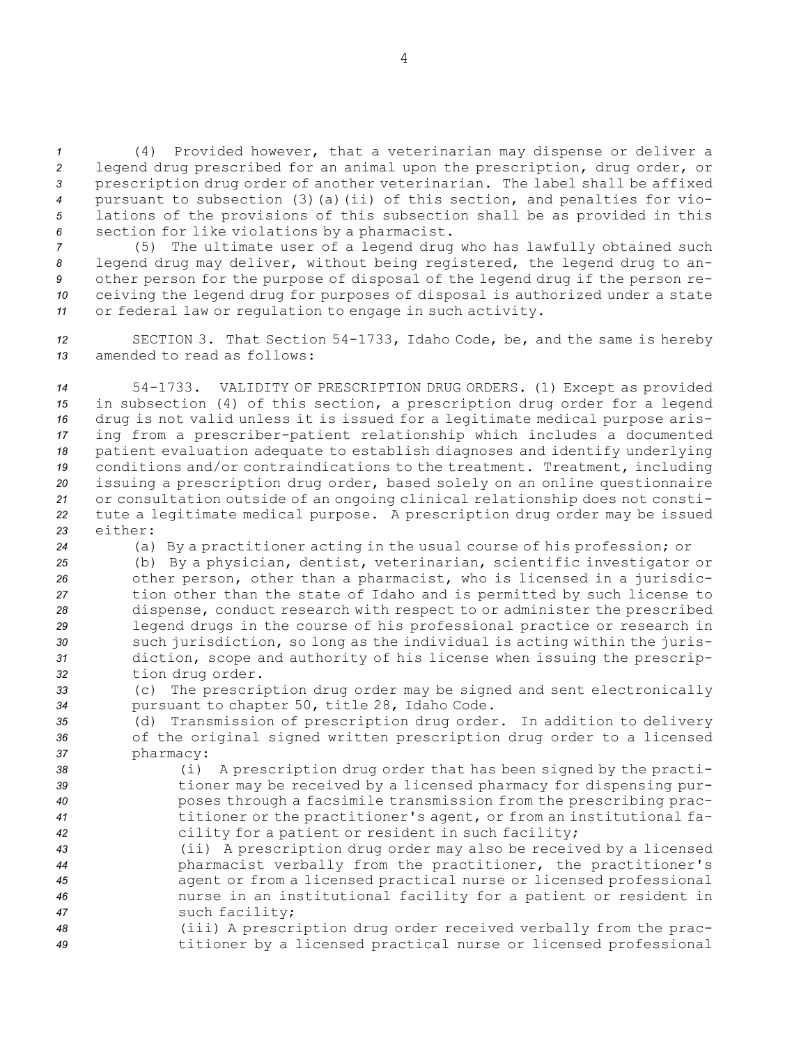(4) Provided however, that <sup>a</sup> veterinarian may dispense or deliver <sup>a</sup> legend drug prescribed for an animal upon the prescription, drug order, or prescription drug order of another veterinarian. The label shall be affixed pursuant to subsection (3)(a)(ii) of this section, and penalties for vio- lations of the provisions of this subsection shall be as provided in this section for like violations by <sup>a</sup> pharmacist.

 (5) The ultimate user of <sup>a</sup> legend drug who has lawfully obtained such legend drug may deliver, without being registered, the legend drug to an- other person for the purpose of disposal of the legend drug if the person re- ceiving the legend drug for purposes of disposal is authorized under <sup>a</sup> state or federal law or regulation to engage in such activity.

*<sup>12</sup>* SECTION 3. That Section 54-1733, Idaho Code, be, and the same is hereby *13* amended to read as follows:

 54-1733. VALIDITY OF PRESCRIPTION DRUG ORDERS. (1) Except as provided in subsection (4) of this section, <sup>a</sup> prescription drug order for <sup>a</sup> legend drug is not valid unless it is issued for <sup>a</sup> legitimate medical purpose aris- ing from <sup>a</sup> prescriber-patient relationship which includes <sup>a</sup> documented patient evaluation adequate to establish diagnoses and identify underlying conditions and/or contraindications to the treatment. Treatment, including issuing <sup>a</sup> prescription drug order, based solely on an online questionnaire or consultation outside of an ongoing clinical relationship does not consti- tute <sup>a</sup> legitimate medical purpose. <sup>A</sup> prescription drug order may be issued *23* either:

*<sup>24</sup>* (a) By <sup>a</sup> practitioner acting in the usual course of his profession; or

 (b) By <sup>a</sup> physician, dentist, veterinarian, scientific investigator or other person, other than <sup>a</sup> pharmacist, who is licensed in <sup>a</sup> jurisdic- tion other than the state of Idaho and is permitted by such license to dispense, conduct research with respect to or administer the prescribed legend drugs in the course of his professional practice or research in such jurisdiction, so long as the individual is acting within the juris- diction, scope and authority of his license when issuing the prescrip-tion drug order.

*<sup>33</sup>* (c) The prescription drug order may be signed and sent electronically *<sup>34</sup>* pursuant to chapter 50, title 28, Idaho Code.

*<sup>35</sup>* (d) Transmission of prescription drug order. In addition to delivery *<sup>36</sup>* of the original signed written prescription drug order to <sup>a</sup> licensed *<sup>37</sup>* pharmacy:

 (i) <sup>A</sup> prescription drug order that has been signed by the practi- tioner may be received by <sup>a</sup> licensed pharmacy for dispensing pur- poses through <sup>a</sup> facsimile transmission from the prescribing prac- titioner or the practitioner's agent, or from an institutional fa-cility for <sup>a</sup> patient or resident in such facility;

 (ii) <sup>A</sup> prescription drug order may also be received by <sup>a</sup> licensed pharmacist verbally from the practitioner, the practitioner's agent or from <sup>a</sup> licensed practical nurse or licensed professional nurse in an institutional facility for <sup>a</sup> patient or resident in such facility;

*<sup>48</sup>* (iii) <sup>A</sup> prescription drug order received verbally from the prac-*<sup>49</sup>* titioner by <sup>a</sup> licensed practical nurse or licensed professional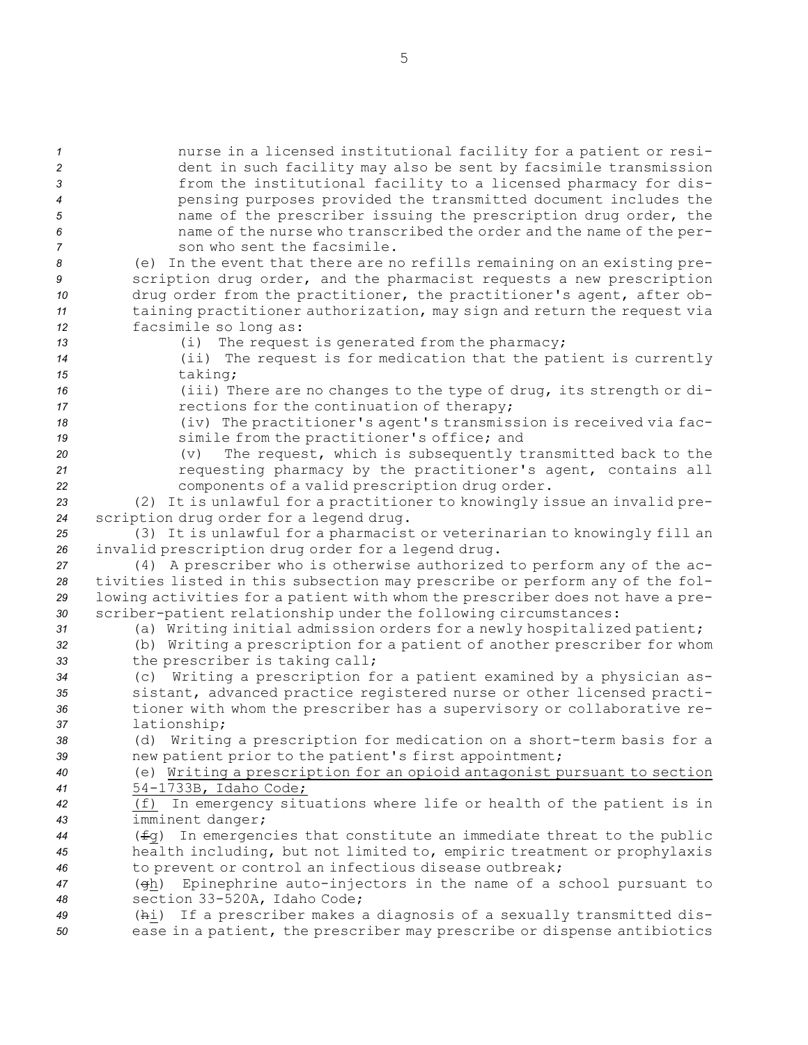| $\mathbf{1}$   | nurse in a licensed institutional facility for a patient or resi-               |
|----------------|---------------------------------------------------------------------------------|
| $\overline{c}$ | dent in such facility may also be sent by facsimile transmission                |
| 3              | from the institutional facility to a licensed pharmacy for dis-                 |
| $\overline{4}$ | pensing purposes provided the transmitted document includes the                 |
| 5              | name of the prescriber issuing the prescription drug order, the                 |
|                |                                                                                 |
| 6              | name of the nurse who transcribed the order and the name of the per-            |
| $\overline{7}$ | son who sent the facsimile.                                                     |
| 8              | (e) In the event that there are no refills remaining on an existing pre-        |
| 9              | scription drug order, and the pharmacist requests a new prescription            |
| 10             | drug order from the practitioner, the practitioner's agent, after ob-           |
| 11             | taining practitioner authorization, may sign and return the request via         |
| 12             | facsimile so long as:                                                           |
| 13             | The request is generated from the pharmacy;<br>(i)                              |
| 14             | (ii) The request is for medication that the patient is currently                |
| 15             | taking;                                                                         |
| 16             | (iii) There are no changes to the type of drug, its strength or di-             |
| 17             | rections for the continuation of therapy;                                       |
| 18             | (iv) The practitioner's agent's transmission is received via fac-               |
| 19             | simile from the practitioner's office; and                                      |
| 20             | The request, which is subsequently transmitted back to the<br>(v)               |
| 21             | requesting pharmacy by the practitioner's agent, contains all                   |
| 22             | components of a valid prescription drug order.                                  |
| 23             | (2) It is unlawful for a practitioner to knowingly issue an invalid pre-        |
| 24             | scription drug order for a legend drug.                                         |
| 25             | (3) It is unlawful for a pharmacist or veterinarian to knowingly fill an        |
| 26             | invalid prescription drug order for a legend drug.                              |
| 27             | (4) A prescriber who is otherwise authorized to perform any of the ac-          |
| 28             | tivities listed in this subsection may prescribe or perform any of the fol-     |
| 29             | lowing activities for a patient with whom the prescriber does not have a pre-   |
| 30             | scriber-patient relationship under the following circumstances:                 |
|                | (a) Writing initial admission orders for a newly hospitalized patient;          |
| 31             |                                                                                 |
| 32             | (b) Writing a prescription for a patient of another prescriber for whom         |
| 33             | the prescriber is taking call;                                                  |
| 34             | (c) Writing a prescription for a patient examined by a physician as-            |
| 35             | sistant, advanced practice registered nurse or other licensed practi-           |
| 36             | tioner with whom the prescriber has a supervisory or collaborative re-          |
| 37             | lationship;                                                                     |
| 38             | (d) Writing a prescription for medication on a short-term basis for a           |
| 39             | new patient prior to the patient's first appointment;                           |
| 40             | (e) Writing a prescription for an opioid antagonist pursuant to section         |
| 41             | 54-1733B, Idaho Code;                                                           |
| 42             | In emergency situations where life or health of the patient is in<br>(f)        |
| 43             | imminent danger;                                                                |
| 44             | $(f\equiv g)$ In emergencies that constitute an immediate threat to the public  |
| 45             | health including, but not limited to, empiric treatment or prophylaxis          |
| 46             | to prevent or control an infectious disease outbreak;                           |
| 47             | Epinephrine auto-injectors in the name of a school pursuant to<br>$(\text{eh})$ |
| 48             | section 33-520A, Idaho Code;                                                    |
| 49             | (hi) If a prescriber makes a diagnosis of a sexually transmitted dis-           |
| 50             | ease in a patient, the prescriber may prescribe or dispense antibiotics         |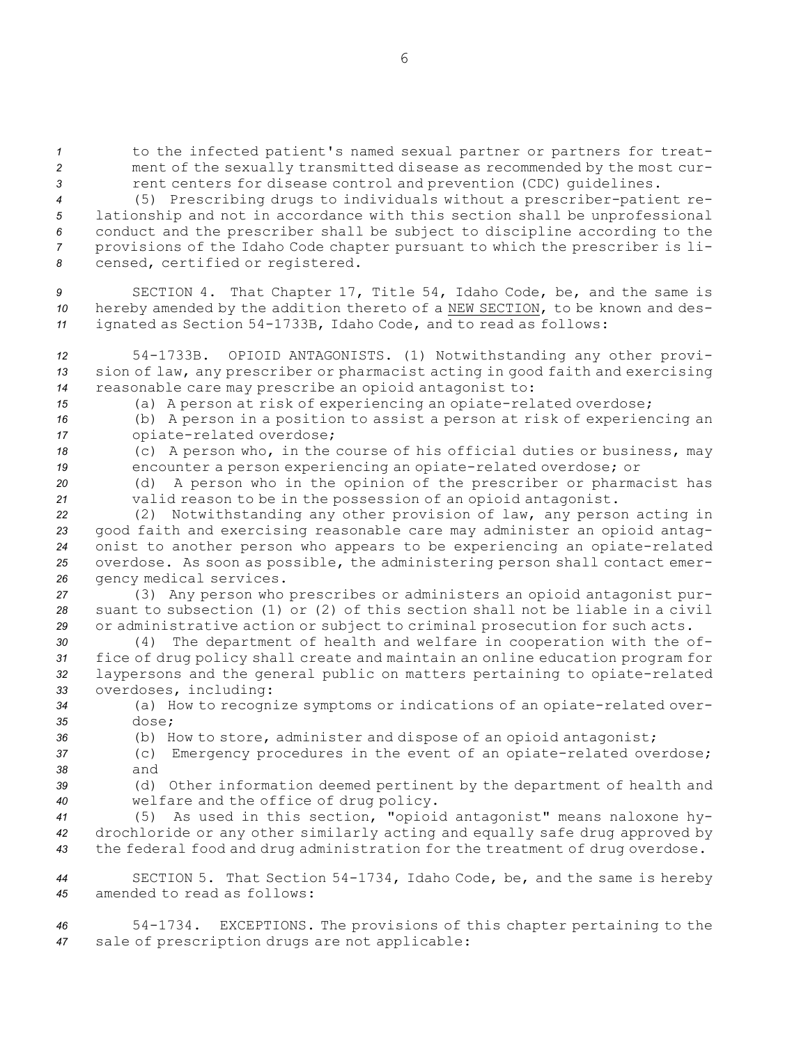*<sup>1</sup>* to the infected patient's named sexual partner or partners for treat-*<sup>2</sup>* ment of the sexually transmitted disease as recommended by the most cur-3 **3** rent centers for disease control and prevention (CDC) quidelines.

 (5) Prescribing drugs to individuals without <sup>a</sup> prescriber-patient re- lationship and not in accordance with this section shall be unprofessional conduct and the prescriber shall be subject to discipline according to the provisions of the Idaho Code chapter pursuant to which the prescriber is li-censed, certified or registered.

*<sup>9</sup>* SECTION 4. That Chapter 17, Title 54, Idaho Code, be, and the same is *<sup>10</sup>* hereby amended by the addition thereto of <sup>a</sup> NEW SECTION, to be known and des-*<sup>11</sup>* ignated as Section 54-1733B, Idaho Code, and to read as follows:

*<sup>12</sup>* 54-1733B. OPIOID ANTAGONISTS. (1) Notwithstanding any other provi-*<sup>13</sup>* sion of law, any prescriber or pharmacist acting in good faith and exercising *<sup>14</sup>* reasonable care may prescribe an opioid antagonist to:

*<sup>15</sup>* (a) <sup>A</sup> person at risk of experiencing an opiate-related overdose;

*<sup>16</sup>* (b) <sup>A</sup> person in <sup>a</sup> position to assist <sup>a</sup> person at risk of experiencing an *<sup>17</sup>* opiate-related overdose;

*<sup>18</sup>* (c) <sup>A</sup> person who, in the course of his official duties or business, may *<sup>19</sup>* encounter <sup>a</sup> person experiencing an opiate-related overdose; or

*<sup>20</sup>* (d) <sup>A</sup> person who in the opinion of the prescriber or pharmacist has *<sup>21</sup>* valid reason to be in the possession of an opioid antagonist.

 (2) Notwithstanding any other provision of law, any person acting in good faith and exercising reasonable care may administer an opioid antag- onist to another person who appears to be experiencing an opiate-related overdose. As soon as possible, the administering person shall contact emer-gency medical services.

*<sup>27</sup>* (3) Any person who prescribes or administers an opioid antagonist pur-*28* suant to subsection (1) or (2) of this section shall not be liable in <sup>a</sup> civil *<sup>29</sup>* or administrative action or subject to criminal prosecution for such acts.

 (4) The department of health and welfare in cooperation with the of- fice of drug policy shall create and maintain an online education program for laypersons and the general public on matters pertaining to opiate-related overdoses, including:

*<sup>34</sup>* (a) How to recognize symptoms or indications of an opiate-related over-*35* dose;

*<sup>36</sup>* (b) How to store, administer and dispose of an opioid antagonist;

*<sup>37</sup>* (c) Emergency procedures in the event of an opiate-related overdose; *38* and

*<sup>39</sup>* (d) Other information deemed pertinent by the department of health and *<sup>40</sup>* welfare and the office of drug policy.

*<sup>41</sup>* (5) As used in this section, "opioid antagonist" means naloxone hy-*<sup>42</sup>* drochloride or any other similarly acting and equally safe drug approved by *<sup>43</sup>* the federal food and drug administration for the treatment of drug overdose.

*<sup>44</sup>* SECTION 5. That Section 54-1734, Idaho Code, be, and the same is hereby *45* amended to read as follows:

*<sup>46</sup>* 54-1734. EXCEPTIONS. The provisions of this chapter pertaining to the *<sup>47</sup>* sale of prescription drugs are not applicable: